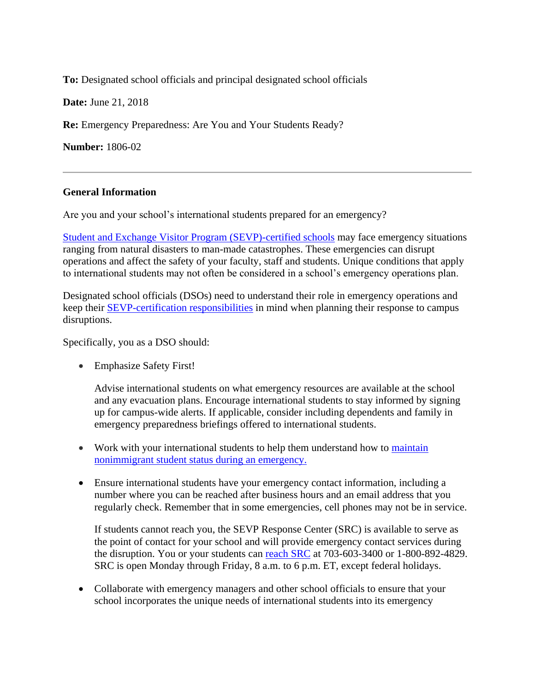**To:** Designated school officials and principal designated school officials

**Date:** June 21, 2018

**Re:** Emergency Preparedness: Are You and Your Students Ready?

**Number:** 1806-02

## **General Information**

Are you and your school's international students prepared for an emergency?

[Student and Exchange Visitor Program \(SEVP\)-certified schools](https://studyinthestates.dhs.gov/school-search) may face emergency situations ranging from natural disasters to man-made catastrophes. These emergencies can disrupt operations and affect the safety of your faculty, staff and students. Unique conditions that apply to international students may not often be considered in a school's emergency operations plan.

Designated school officials (DSOs) need to understand their role in emergency operations and keep their [SEVP-certification responsibilities](https://studyinthestates.dhs.gov/certification-responsibilities) in mind when planning their response to campus disruptions.

Specifically, you as a DSO should:

• Emphasize Safety First!

Advise international students on what emergency resources are available at the school and any evacuation plans. Encourage international students to stay informed by signing up for campus-wide alerts. If applicable, consider including dependents and family in emergency preparedness briefings offered to international students.

- Work with your international students to help them understand how to maintain [nonimmigrant student status during an emergency.](https://studyinthestates.dhs.gov/maintain-f-and-m-status-in-emergency-events)
- Ensure international students have your emergency contact information, including a number where you can be reached after business hours and an email address that you regularly check. Remember that in some emergencies, cell phones may not be in service.

If students cannot reach you, the SEVP Response Center (SRC) is available to serve as the point of contact for your school and will provide emergency contact services during the disruption. You or your students can [reach S](https://studyinthestates.dhs.gov/contact-us)RC at 703-603-3400 or 1-800-892-4829. SRC is open Monday through Friday, 8 a.m. to 6 p.m. ET, except federal holidays.

• Collaborate with emergency managers and other school officials to ensure that your school incorporates the unique needs of international students into its emergency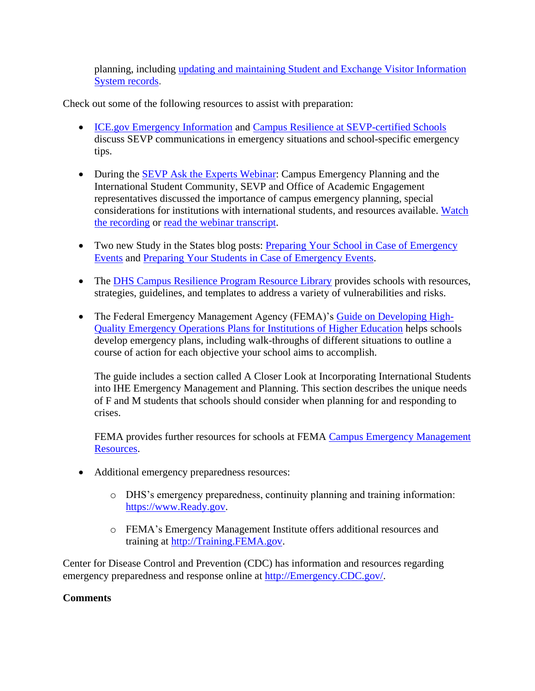planning, including [updating and maintaining Student and Exchange Visitor Information](https://studyinthestates.dhs.gov/sevis-help-hub/student-records/update-student-records)  [System records.](https://studyinthestates.dhs.gov/sevis-help-hub/student-records/update-student-records)

Check out some of the following resources to assist with preparation:

- [ICE.gov Emergency Information](https://www.ice.gov/sevis/schools#tab6) and [Campus Resilience at SEVP-certified Schools](https://studyinthestates.dhs.gov/campus-resilience-at-sevp-certified-schools) discuss SEVP communications in emergency situations and school-specific emergency tips.
- During the **SEVP** Ask the Experts Webinar: Campus Emergency Planning and the International Student Community, SEVP and Office of Academic Engagement representatives discussed the importance of campus emergency planning, special considerations for institutions with international students, and resources available. Watch [the recording](https://studyinthestates.dhs.gov/webinar/sevp-ask-the-experts-webinar-campus-emergency-planning-and-the-international-student-community) or read the webinar [transcript.](https://studyinthestates.dhs.gov/assets/feb_28_2017_webinar_script.pdf)
- Two new Study in the States blog posts: [Preparing Your School in Case of](https://studyinthestates.dhs.gov/2018/06/preparing-your-school-in-case-of-emergency-events) Emergency [Events](https://studyinthestates.dhs.gov/2018/06/preparing-your-school-in-case-of-emergency-events) and [Preparing Your Students in Case of](https://studyinthestates.dhs.gov/2018/06/preparing-your-students-in-case-of-emergency-events) Emergency Events.
- The [DHS Campus Resilience Program Resource Library](https://www.dhs.gov/campus-resilience-program-resource-library) provides schools with resources, strategies, guidelines, and templates to address a variety of vulnerabilities and risks.
- The Federal Emergency Management Agency (FEMA)'s [Guide on Developing](https://www.fema.gov/media-library/assets/documents/33597) High-[Quality Emergency Operations Plans for Institutions of Higher Education](https://www.fema.gov/media-library/assets/documents/33597) helps schools develop emergency plans, including walk-throughs of different situations to outline a course of action for each objective your school aims to accomplish.

The guide includes a section called A Closer Look at Incorporating International Students into IHE Emergency Management and Planning. This section describes the unique needs of F and M students that schools should consider when planning for and responding to crises.

FEMA provides further resources for schools at FEMA Campus Emergency Management [Resources.](https://training.fema.gov/hiedu/cemr.aspx)

- Additional emergency preparedness resources:
	- o DHS's emergency preparedness, continuity planning and training information: [https://www.Ready.gov.](https://www.ready.gov/)
	- o FEMA's Emergency Management Institute offers additional resources and training at [http://Training.FEMA.gov.](http://training.fema.gov/)

Center for Disease Control and Prevention (CDC) has information and resources regarding emergency preparedness and response online at [http://Emergency.CDC.gov/.](http://emergency.cdc.gov/)

## **Comments**